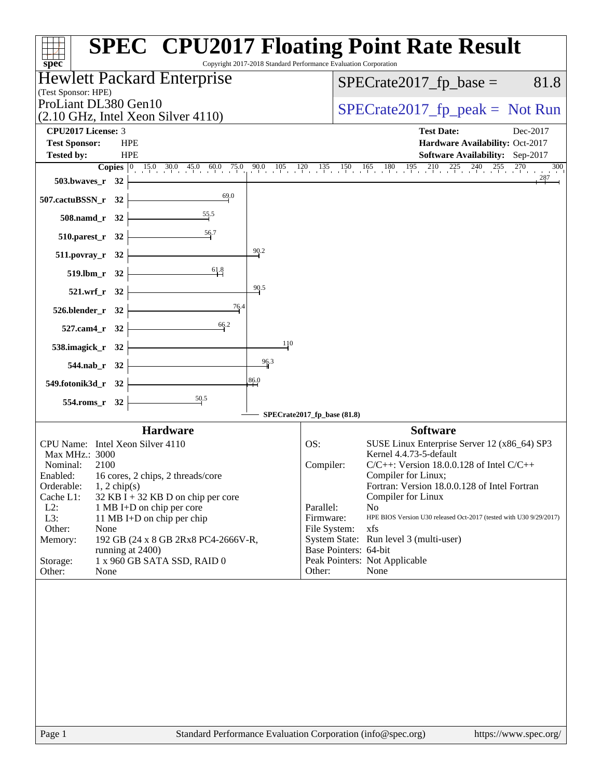| Hewlett Packard Enterprise<br>$SPECrate2017_fp\_base =$<br>81.8<br>$SPECrate2017_fp\_peak = Not Run$<br>$(2.10 \text{ GHz}, \text{Intel Xeon Silver } 4110)$<br><b>CPU2017 License: 3</b><br><b>Test Date:</b><br>Dec-2017<br><b>Test Sponsor:</b><br><b>HPE</b><br>Hardware Availability: Oct-2017<br><b>HPE</b><br><b>Tested by:</b><br><b>Software Availability:</b> Sep-2017<br><b>Copies</b> $\begin{bmatrix} 0 & 15.0 & 30.0 & 45.0 & 60.0 & 75.0 & 90.0 & 105 & 120 & 135 & 150 & 165 & 180 & 195 & 210 & 225 & 240 & 255 & 270 & 300 \end{bmatrix}$<br>503.bwaves_ $r$ 32 $\vdash$<br>69.0<br>507.cactuBSSN_r 32<br>$508$ .namd_r 32<br>510.parest_r 32 $\frac{56.7}{100}$<br>$-90.2$<br>$511.povray_r 32$<br>61.8<br>$519. lbm_r 32$<br>90.5<br>$521.wrf_r 32$<br>$526.$ blender_r 32 $\vert$<br>66.2<br>$527$ .cam4_r 32<br>110<br>$538.\text{imagek}_r$ 32<br>96.3<br>$544$ .nab_r 32<br>86.0<br>549.fotonik3d_r 32 $\vert$<br>$\frac{50.5}{2}$<br>$554$ .roms_r 32<br>SPECrate2017_fp_base (81.8)<br><b>Hardware</b><br><b>Software</b><br>CPU Name: Intel Xeon Silver 4110<br>OS:<br>SUSE Linux Enterprise Server 12 (x86_64) SP3<br>Kernel 4.4.73-5-default<br>Max MHz.: 3000<br>$C/C++$ : Version 18.0.0.128 of Intel $C/C++$<br>2100<br>Compiler:<br>Nominal:<br>16 cores, 2 chips, 2 threads/core<br>Enabled:<br>Compiler for Linux;<br>Fortran: Version 18.0.0.128 of Intel Fortran<br>Orderable:<br>$1, 2$ chip(s)<br>Cache L1:<br>$32$ KB I + 32 KB D on chip per core<br>Compiler for Linux<br>$L2$ :<br>Parallel:<br>N <sub>0</sub><br>1 MB I+D on chip per core<br>$L3$ :<br>Firmware:<br>HPE BIOS Version U30 released Oct-2017 (tested with U30 9/29/2017)<br>11 MB I+D on chip per chip<br>Other:<br>File System:<br>xfs<br>None<br>System State: Run level 3 (multi-user)<br>Memory:<br>192 GB (24 x 8 GB 2Rx8 PC4-2666V-R,<br>Base Pointers: 64-bit<br>running at 2400)<br>1 x 960 GB SATA SSD, RAID 0<br>Peak Pointers: Not Applicable<br>Storage:<br>Other:<br>None<br>Other:<br>None | (Test Sponsor: HPE)<br>ProLiant DL380 Gen10 | Copyright 2017-2018 Standard Performance Evaluation Corporation |  |
|---------------------------------------------------------------------------------------------------------------------------------------------------------------------------------------------------------------------------------------------------------------------------------------------------------------------------------------------------------------------------------------------------------------------------------------------------------------------------------------------------------------------------------------------------------------------------------------------------------------------------------------------------------------------------------------------------------------------------------------------------------------------------------------------------------------------------------------------------------------------------------------------------------------------------------------------------------------------------------------------------------------------------------------------------------------------------------------------------------------------------------------------------------------------------------------------------------------------------------------------------------------------------------------------------------------------------------------------------------------------------------------------------------------------------------------------------------------------------------------------------------------------------------------------------------------------------------------------------------------------------------------------------------------------------------------------------------------------------------------------------------------------------------------------------------------------------------------------------------------------------------------------------------------------------------------------------------------------------------------------------------------------|---------------------------------------------|-----------------------------------------------------------------|--|
|                                                                                                                                                                                                                                                                                                                                                                                                                                                                                                                                                                                                                                                                                                                                                                                                                                                                                                                                                                                                                                                                                                                                                                                                                                                                                                                                                                                                                                                                                                                                                                                                                                                                                                                                                                                                                                                                                                                                                                                                                     |                                             |                                                                 |  |
|                                                                                                                                                                                                                                                                                                                                                                                                                                                                                                                                                                                                                                                                                                                                                                                                                                                                                                                                                                                                                                                                                                                                                                                                                                                                                                                                                                                                                                                                                                                                                                                                                                                                                                                                                                                                                                                                                                                                                                                                                     |                                             |                                                                 |  |
|                                                                                                                                                                                                                                                                                                                                                                                                                                                                                                                                                                                                                                                                                                                                                                                                                                                                                                                                                                                                                                                                                                                                                                                                                                                                                                                                                                                                                                                                                                                                                                                                                                                                                                                                                                                                                                                                                                                                                                                                                     |                                             |                                                                 |  |
|                                                                                                                                                                                                                                                                                                                                                                                                                                                                                                                                                                                                                                                                                                                                                                                                                                                                                                                                                                                                                                                                                                                                                                                                                                                                                                                                                                                                                                                                                                                                                                                                                                                                                                                                                                                                                                                                                                                                                                                                                     |                                             |                                                                 |  |
|                                                                                                                                                                                                                                                                                                                                                                                                                                                                                                                                                                                                                                                                                                                                                                                                                                                                                                                                                                                                                                                                                                                                                                                                                                                                                                                                                                                                                                                                                                                                                                                                                                                                                                                                                                                                                                                                                                                                                                                                                     |                                             |                                                                 |  |
|                                                                                                                                                                                                                                                                                                                                                                                                                                                                                                                                                                                                                                                                                                                                                                                                                                                                                                                                                                                                                                                                                                                                                                                                                                                                                                                                                                                                                                                                                                                                                                                                                                                                                                                                                                                                                                                                                                                                                                                                                     |                                             |                                                                 |  |
|                                                                                                                                                                                                                                                                                                                                                                                                                                                                                                                                                                                                                                                                                                                                                                                                                                                                                                                                                                                                                                                                                                                                                                                                                                                                                                                                                                                                                                                                                                                                                                                                                                                                                                                                                                                                                                                                                                                                                                                                                     |                                             |                                                                 |  |
|                                                                                                                                                                                                                                                                                                                                                                                                                                                                                                                                                                                                                                                                                                                                                                                                                                                                                                                                                                                                                                                                                                                                                                                                                                                                                                                                                                                                                                                                                                                                                                                                                                                                                                                                                                                                                                                                                                                                                                                                                     |                                             |                                                                 |  |
|                                                                                                                                                                                                                                                                                                                                                                                                                                                                                                                                                                                                                                                                                                                                                                                                                                                                                                                                                                                                                                                                                                                                                                                                                                                                                                                                                                                                                                                                                                                                                                                                                                                                                                                                                                                                                                                                                                                                                                                                                     |                                             |                                                                 |  |
|                                                                                                                                                                                                                                                                                                                                                                                                                                                                                                                                                                                                                                                                                                                                                                                                                                                                                                                                                                                                                                                                                                                                                                                                                                                                                                                                                                                                                                                                                                                                                                                                                                                                                                                                                                                                                                                                                                                                                                                                                     |                                             |                                                                 |  |
|                                                                                                                                                                                                                                                                                                                                                                                                                                                                                                                                                                                                                                                                                                                                                                                                                                                                                                                                                                                                                                                                                                                                                                                                                                                                                                                                                                                                                                                                                                                                                                                                                                                                                                                                                                                                                                                                                                                                                                                                                     |                                             |                                                                 |  |
|                                                                                                                                                                                                                                                                                                                                                                                                                                                                                                                                                                                                                                                                                                                                                                                                                                                                                                                                                                                                                                                                                                                                                                                                                                                                                                                                                                                                                                                                                                                                                                                                                                                                                                                                                                                                                                                                                                                                                                                                                     |                                             |                                                                 |  |
|                                                                                                                                                                                                                                                                                                                                                                                                                                                                                                                                                                                                                                                                                                                                                                                                                                                                                                                                                                                                                                                                                                                                                                                                                                                                                                                                                                                                                                                                                                                                                                                                                                                                                                                                                                                                                                                                                                                                                                                                                     |                                             |                                                                 |  |
|                                                                                                                                                                                                                                                                                                                                                                                                                                                                                                                                                                                                                                                                                                                                                                                                                                                                                                                                                                                                                                                                                                                                                                                                                                                                                                                                                                                                                                                                                                                                                                                                                                                                                                                                                                                                                                                                                                                                                                                                                     |                                             |                                                                 |  |
|                                                                                                                                                                                                                                                                                                                                                                                                                                                                                                                                                                                                                                                                                                                                                                                                                                                                                                                                                                                                                                                                                                                                                                                                                                                                                                                                                                                                                                                                                                                                                                                                                                                                                                                                                                                                                                                                                                                                                                                                                     |                                             |                                                                 |  |
|                                                                                                                                                                                                                                                                                                                                                                                                                                                                                                                                                                                                                                                                                                                                                                                                                                                                                                                                                                                                                                                                                                                                                                                                                                                                                                                                                                                                                                                                                                                                                                                                                                                                                                                                                                                                                                                                                                                                                                                                                     |                                             |                                                                 |  |
|                                                                                                                                                                                                                                                                                                                                                                                                                                                                                                                                                                                                                                                                                                                                                                                                                                                                                                                                                                                                                                                                                                                                                                                                                                                                                                                                                                                                                                                                                                                                                                                                                                                                                                                                                                                                                                                                                                                                                                                                                     |                                             |                                                                 |  |
|                                                                                                                                                                                                                                                                                                                                                                                                                                                                                                                                                                                                                                                                                                                                                                                                                                                                                                                                                                                                                                                                                                                                                                                                                                                                                                                                                                                                                                                                                                                                                                                                                                                                                                                                                                                                                                                                                                                                                                                                                     |                                             |                                                                 |  |
|                                                                                                                                                                                                                                                                                                                                                                                                                                                                                                                                                                                                                                                                                                                                                                                                                                                                                                                                                                                                                                                                                                                                                                                                                                                                                                                                                                                                                                                                                                                                                                                                                                                                                                                                                                                                                                                                                                                                                                                                                     |                                             |                                                                 |  |
|                                                                                                                                                                                                                                                                                                                                                                                                                                                                                                                                                                                                                                                                                                                                                                                                                                                                                                                                                                                                                                                                                                                                                                                                                                                                                                                                                                                                                                                                                                                                                                                                                                                                                                                                                                                                                                                                                                                                                                                                                     |                                             |                                                                 |  |
|                                                                                                                                                                                                                                                                                                                                                                                                                                                                                                                                                                                                                                                                                                                                                                                                                                                                                                                                                                                                                                                                                                                                                                                                                                                                                                                                                                                                                                                                                                                                                                                                                                                                                                                                                                                                                                                                                                                                                                                                                     |                                             |                                                                 |  |
|                                                                                                                                                                                                                                                                                                                                                                                                                                                                                                                                                                                                                                                                                                                                                                                                                                                                                                                                                                                                                                                                                                                                                                                                                                                                                                                                                                                                                                                                                                                                                                                                                                                                                                                                                                                                                                                                                                                                                                                                                     |                                             |                                                                 |  |
|                                                                                                                                                                                                                                                                                                                                                                                                                                                                                                                                                                                                                                                                                                                                                                                                                                                                                                                                                                                                                                                                                                                                                                                                                                                                                                                                                                                                                                                                                                                                                                                                                                                                                                                                                                                                                                                                                                                                                                                                                     |                                             |                                                                 |  |
|                                                                                                                                                                                                                                                                                                                                                                                                                                                                                                                                                                                                                                                                                                                                                                                                                                                                                                                                                                                                                                                                                                                                                                                                                                                                                                                                                                                                                                                                                                                                                                                                                                                                                                                                                                                                                                                                                                                                                                                                                     |                                             |                                                                 |  |
|                                                                                                                                                                                                                                                                                                                                                                                                                                                                                                                                                                                                                                                                                                                                                                                                                                                                                                                                                                                                                                                                                                                                                                                                                                                                                                                                                                                                                                                                                                                                                                                                                                                                                                                                                                                                                                                                                                                                                                                                                     |                                             |                                                                 |  |
|                                                                                                                                                                                                                                                                                                                                                                                                                                                                                                                                                                                                                                                                                                                                                                                                                                                                                                                                                                                                                                                                                                                                                                                                                                                                                                                                                                                                                                                                                                                                                                                                                                                                                                                                                                                                                                                                                                                                                                                                                     |                                             |                                                                 |  |
|                                                                                                                                                                                                                                                                                                                                                                                                                                                                                                                                                                                                                                                                                                                                                                                                                                                                                                                                                                                                                                                                                                                                                                                                                                                                                                                                                                                                                                                                                                                                                                                                                                                                                                                                                                                                                                                                                                                                                                                                                     |                                             |                                                                 |  |
|                                                                                                                                                                                                                                                                                                                                                                                                                                                                                                                                                                                                                                                                                                                                                                                                                                                                                                                                                                                                                                                                                                                                                                                                                                                                                                                                                                                                                                                                                                                                                                                                                                                                                                                                                                                                                                                                                                                                                                                                                     |                                             |                                                                 |  |
|                                                                                                                                                                                                                                                                                                                                                                                                                                                                                                                                                                                                                                                                                                                                                                                                                                                                                                                                                                                                                                                                                                                                                                                                                                                                                                                                                                                                                                                                                                                                                                                                                                                                                                                                                                                                                                                                                                                                                                                                                     |                                             |                                                                 |  |
|                                                                                                                                                                                                                                                                                                                                                                                                                                                                                                                                                                                                                                                                                                                                                                                                                                                                                                                                                                                                                                                                                                                                                                                                                                                                                                                                                                                                                                                                                                                                                                                                                                                                                                                                                                                                                                                                                                                                                                                                                     |                                             |                                                                 |  |
|                                                                                                                                                                                                                                                                                                                                                                                                                                                                                                                                                                                                                                                                                                                                                                                                                                                                                                                                                                                                                                                                                                                                                                                                                                                                                                                                                                                                                                                                                                                                                                                                                                                                                                                                                                                                                                                                                                                                                                                                                     |                                             |                                                                 |  |
|                                                                                                                                                                                                                                                                                                                                                                                                                                                                                                                                                                                                                                                                                                                                                                                                                                                                                                                                                                                                                                                                                                                                                                                                                                                                                                                                                                                                                                                                                                                                                                                                                                                                                                                                                                                                                                                                                                                                                                                                                     |                                             |                                                                 |  |
|                                                                                                                                                                                                                                                                                                                                                                                                                                                                                                                                                                                                                                                                                                                                                                                                                                                                                                                                                                                                                                                                                                                                                                                                                                                                                                                                                                                                                                                                                                                                                                                                                                                                                                                                                                                                                                                                                                                                                                                                                     |                                             |                                                                 |  |
|                                                                                                                                                                                                                                                                                                                                                                                                                                                                                                                                                                                                                                                                                                                                                                                                                                                                                                                                                                                                                                                                                                                                                                                                                                                                                                                                                                                                                                                                                                                                                                                                                                                                                                                                                                                                                                                                                                                                                                                                                     |                                             |                                                                 |  |
|                                                                                                                                                                                                                                                                                                                                                                                                                                                                                                                                                                                                                                                                                                                                                                                                                                                                                                                                                                                                                                                                                                                                                                                                                                                                                                                                                                                                                                                                                                                                                                                                                                                                                                                                                                                                                                                                                                                                                                                                                     |                                             |                                                                 |  |
|                                                                                                                                                                                                                                                                                                                                                                                                                                                                                                                                                                                                                                                                                                                                                                                                                                                                                                                                                                                                                                                                                                                                                                                                                                                                                                                                                                                                                                                                                                                                                                                                                                                                                                                                                                                                                                                                                                                                                                                                                     |                                             |                                                                 |  |
|                                                                                                                                                                                                                                                                                                                                                                                                                                                                                                                                                                                                                                                                                                                                                                                                                                                                                                                                                                                                                                                                                                                                                                                                                                                                                                                                                                                                                                                                                                                                                                                                                                                                                                                                                                                                                                                                                                                                                                                                                     |                                             |                                                                 |  |
|                                                                                                                                                                                                                                                                                                                                                                                                                                                                                                                                                                                                                                                                                                                                                                                                                                                                                                                                                                                                                                                                                                                                                                                                                                                                                                                                                                                                                                                                                                                                                                                                                                                                                                                                                                                                                                                                                                                                                                                                                     |                                             |                                                                 |  |
|                                                                                                                                                                                                                                                                                                                                                                                                                                                                                                                                                                                                                                                                                                                                                                                                                                                                                                                                                                                                                                                                                                                                                                                                                                                                                                                                                                                                                                                                                                                                                                                                                                                                                                                                                                                                                                                                                                                                                                                                                     |                                             |                                                                 |  |
|                                                                                                                                                                                                                                                                                                                                                                                                                                                                                                                                                                                                                                                                                                                                                                                                                                                                                                                                                                                                                                                                                                                                                                                                                                                                                                                                                                                                                                                                                                                                                                                                                                                                                                                                                                                                                                                                                                                                                                                                                     |                                             |                                                                 |  |
|                                                                                                                                                                                                                                                                                                                                                                                                                                                                                                                                                                                                                                                                                                                                                                                                                                                                                                                                                                                                                                                                                                                                                                                                                                                                                                                                                                                                                                                                                                                                                                                                                                                                                                                                                                                                                                                                                                                                                                                                                     |                                             |                                                                 |  |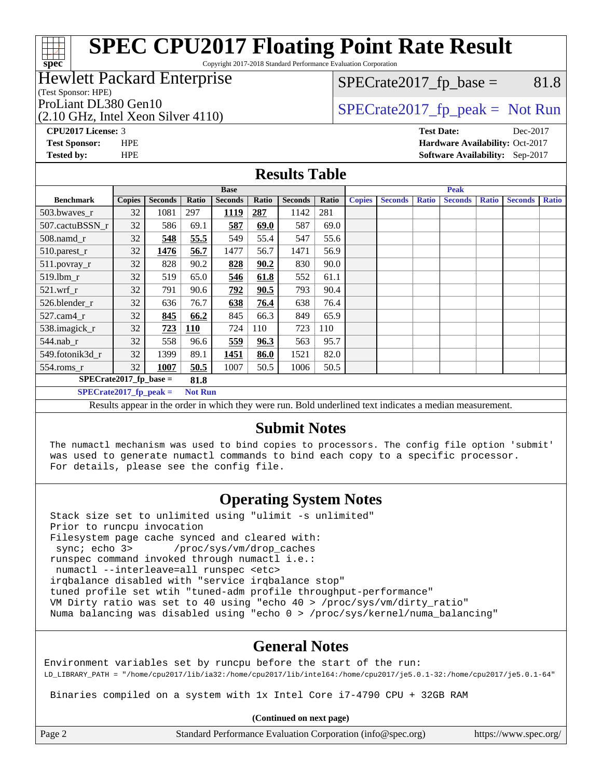Copyright 2017-2018 Standard Performance Evaluation Corporation

#### Hewlett Packard Enterprise

(Test Sponsor: HPE)

**[spec](http://www.spec.org/)**

(2.10 GHz, Intel Xeon Silver 4110)

 $SPECTate2017<sub>fp</sub> base =  $81.8$$ 

## ProLiant DL380 Gen10  $SPECTA = 1110$   $SPECTA = 2017$  fp\_peak = Not Run

**[CPU2017 License:](http://www.spec.org/auto/cpu2017/Docs/result-fields.html#CPU2017License)** 3 **[Test Date:](http://www.spec.org/auto/cpu2017/Docs/result-fields.html#TestDate)** Dec-2017 **[Test Sponsor:](http://www.spec.org/auto/cpu2017/Docs/result-fields.html#TestSponsor)** HPE **[Hardware Availability:](http://www.spec.org/auto/cpu2017/Docs/result-fields.html#HardwareAvailability)** Oct-2017 **[Tested by:](http://www.spec.org/auto/cpu2017/Docs/result-fields.html#Testedby)** HPE **[Software Availability:](http://www.spec.org/auto/cpu2017/Docs/result-fields.html#SoftwareAvailability)** Sep-2017

#### **[Results Table](http://www.spec.org/auto/cpu2017/Docs/result-fields.html#ResultsTable)**

| <b>Base</b>                                                                                                 |                                            |                |       |                |       | <b>Peak</b>    |       |               |                |              |                |              |                |              |
|-------------------------------------------------------------------------------------------------------------|--------------------------------------------|----------------|-------|----------------|-------|----------------|-------|---------------|----------------|--------------|----------------|--------------|----------------|--------------|
| <b>Benchmark</b>                                                                                            | <b>Copies</b>                              | <b>Seconds</b> | Ratio | <b>Seconds</b> | Ratio | <b>Seconds</b> | Ratio | <b>Copies</b> | <b>Seconds</b> | <b>Ratio</b> | <b>Seconds</b> | <b>Ratio</b> | <b>Seconds</b> | <b>Ratio</b> |
| 503.bwayes r                                                                                                | 32                                         | 1081           | 297   | 1119           | 287   | 1142           | 281   |               |                |              |                |              |                |              |
| 507.cactuBSSN r                                                                                             | 32                                         | 586            | 69.1  | 587            | 69.0  | 587            | 69.0  |               |                |              |                |              |                |              |
| $508$ .namd $r$                                                                                             | 32                                         | 548            | 55.5  | 549            | 55.4  | 547            | 55.6  |               |                |              |                |              |                |              |
| 510.parest_r                                                                                                | 32                                         | 1476           | 56.7  | 1477           | 56.7  | 1471           | 56.9  |               |                |              |                |              |                |              |
| 511.povray_r                                                                                                | 32                                         | 828            | 90.2  | 828            | 90.2  | 830            | 90.0  |               |                |              |                |              |                |              |
| $519$ .lbm $r$                                                                                              | 32                                         | 519            | 65.0  | 546            | 61.8  | 552            | 61.1  |               |                |              |                |              |                |              |
| $521$ .wrf r                                                                                                | 32                                         | 791            | 90.6  | 792            | 90.5  | 793            | 90.4  |               |                |              |                |              |                |              |
| 526.blender_r                                                                                               | 32                                         | 636            | 76.7  | 638            | 76.4  | 638            | 76.4  |               |                |              |                |              |                |              |
| $527$ .cam $4r$                                                                                             | 32                                         | 845            | 66.2  | 845            | 66.3  | 849            | 65.9  |               |                |              |                |              |                |              |
| 538.imagick_r                                                                                               | 32                                         | 723            | 110   | 724            | 110   | 723            | 110   |               |                |              |                |              |                |              |
| $544$ .nab r                                                                                                | 32                                         | 558            | 96.6  | 559            | 96.3  | 563            | 95.7  |               |                |              |                |              |                |              |
| 549.fotonik3d r                                                                                             | 32                                         | 1399           | 89.1  | 1451           | 86.0  | 1521           | 82.0  |               |                |              |                |              |                |              |
| $554$ .roms_r                                                                                               | 32                                         | 1007           | 50.5  | 1007           | 50.5  | 1006           | 50.5  |               |                |              |                |              |                |              |
| $SPECrate2017_fp\_base =$<br>81.8                                                                           |                                            |                |       |                |       |                |       |               |                |              |                |              |                |              |
|                                                                                                             | $SPECrate2017$ fp peak =<br><b>Not Run</b> |                |       |                |       |                |       |               |                |              |                |              |                |              |
| Desulto anno an in the suden in which there were my Dald wadedined text in disates a meadian massacronesser |                                            |                |       |                |       |                |       |               |                |              |                |              |                |              |

Results appear in the [order in which they were run.](http://www.spec.org/auto/cpu2017/Docs/result-fields.html#RunOrder) Bold underlined text [indicates a median measurement.](http://www.spec.org/auto/cpu2017/Docs/result-fields.html#Median)

### **[Submit Notes](http://www.spec.org/auto/cpu2017/Docs/result-fields.html#SubmitNotes)**

 The numactl mechanism was used to bind copies to processors. The config file option 'submit' was used to generate numactl commands to bind each copy to a specific processor. For details, please see the config file.

## **[Operating System Notes](http://www.spec.org/auto/cpu2017/Docs/result-fields.html#OperatingSystemNotes)**

 Stack size set to unlimited using "ulimit -s unlimited" Prior to runcpu invocation Filesystem page cache synced and cleared with: sync; echo 3> /proc/sys/vm/drop\_caches runspec command invoked through numactl i.e.: numactl --interleave=all runspec <etc> irqbalance disabled with "service irqbalance stop" tuned profile set wtih "tuned-adm profile throughput-performance" VM Dirty ratio was set to 40 using "echo 40 > /proc/sys/vm/dirty\_ratio" Numa balancing was disabled using "echo 0 > /proc/sys/kernel/numa\_balancing"

## **[General Notes](http://www.spec.org/auto/cpu2017/Docs/result-fields.html#GeneralNotes)**

Environment variables set by runcpu before the start of the run: LD\_LIBRARY\_PATH = "/home/cpu2017/lib/ia32:/home/cpu2017/lib/intel64:/home/cpu2017/je5.0.1-32:/home/cpu2017/je5.0.1-64"

Binaries compiled on a system with 1x Intel Core i7-4790 CPU + 32GB RAM

**(Continued on next page)**

Page 2 Standard Performance Evaluation Corporation [\(info@spec.org\)](mailto:info@spec.org) <https://www.spec.org/>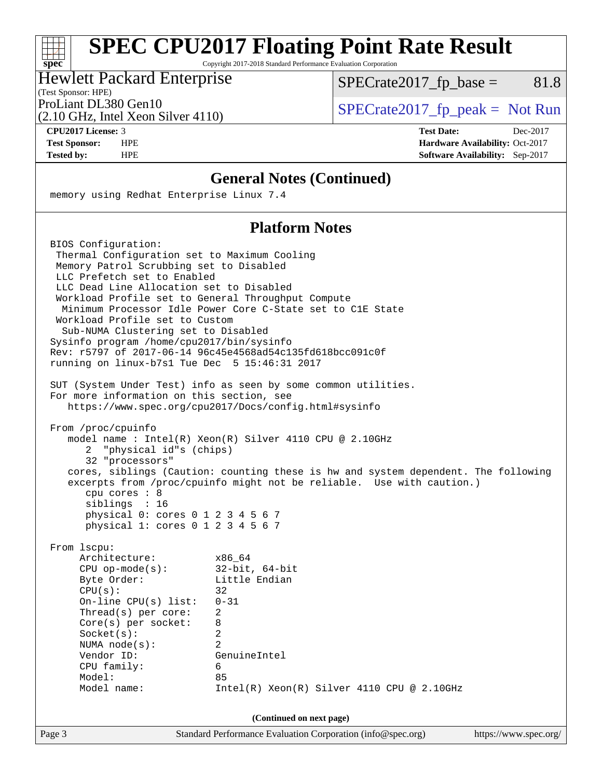Copyright 2017-2018 Standard Performance Evaluation Corporation

#### Hewlett Packard Enterprise

 $SPECTate2017<sub>fp</sub> base =  $81.8$$ 

(Test Sponsor: HPE)

(2.10 GHz, Intel Xeon Silver 4110)

ProLiant DL380 Gen10  $SPECTR_{12}$  [SPECrate2017\\_fp\\_peak =](http://www.spec.org/auto/cpu2017/Docs/result-fields.html#SPECrate2017fppeak) Not Run

**[spec](http://www.spec.org/)**

**[CPU2017 License:](http://www.spec.org/auto/cpu2017/Docs/result-fields.html#CPU2017License)** 3 **[Test Date:](http://www.spec.org/auto/cpu2017/Docs/result-fields.html#TestDate)** Dec-2017 **[Test Sponsor:](http://www.spec.org/auto/cpu2017/Docs/result-fields.html#TestSponsor)** HPE **[Hardware Availability:](http://www.spec.org/auto/cpu2017/Docs/result-fields.html#HardwareAvailability)** Oct-2017 **[Tested by:](http://www.spec.org/auto/cpu2017/Docs/result-fields.html#Testedby)** HPE **[Software Availability:](http://www.spec.org/auto/cpu2017/Docs/result-fields.html#SoftwareAvailability)** Sep-2017

#### **[General Notes \(Continued\)](http://www.spec.org/auto/cpu2017/Docs/result-fields.html#GeneralNotes)**

memory using Redhat Enterprise Linux 7.4

## **[Platform Notes](http://www.spec.org/auto/cpu2017/Docs/result-fields.html#PlatformNotes)**

 BIOS Configuration: Thermal Configuration set to Maximum Cooling Memory Patrol Scrubbing set to Disabled LLC Prefetch set to Enabled LLC Dead Line Allocation set to Disabled Workload Profile set to General Throughput Compute Minimum Processor Idle Power Core C-State set to C1E State Workload Profile set to Custom Sub-NUMA Clustering set to Disabled Sysinfo program /home/cpu2017/bin/sysinfo Rev: r5797 of 2017-06-14 96c45e4568ad54c135fd618bcc091c0f running on linux-b7s1 Tue Dec 5 15:46:31 2017 SUT (System Under Test) info as seen by some common utilities. For more information on this section, see <https://www.spec.org/cpu2017/Docs/config.html#sysinfo> From /proc/cpuinfo model name : Intel(R) Xeon(R) Silver 4110 CPU @ 2.10GHz 2 "physical id"s (chips) 32 "processors" cores, siblings (Caution: counting these is hw and system dependent. The following excerpts from /proc/cpuinfo might not be reliable. Use with caution.) cpu cores : 8 siblings : 16 physical 0: cores 0 1 2 3 4 5 6 7 physical 1: cores 0 1 2 3 4 5 6 7 From lscpu: Architecture: x86\_64 CPU op-mode(s): 32-bit, 64-bit Byte Order: Little Endian  $CPU(s):$  32 On-line CPU(s) list: 0-31 Thread(s) per core: 2 Core(s) per socket: 8 Socket(s): 2 NUMA node(s): 2 Vendor ID: GenuineIntel CPU family: 6 Model: 85 Model name: Intel(R) Xeon(R) Silver 4110 CPU @ 2.10GHz **(Continued on next page)**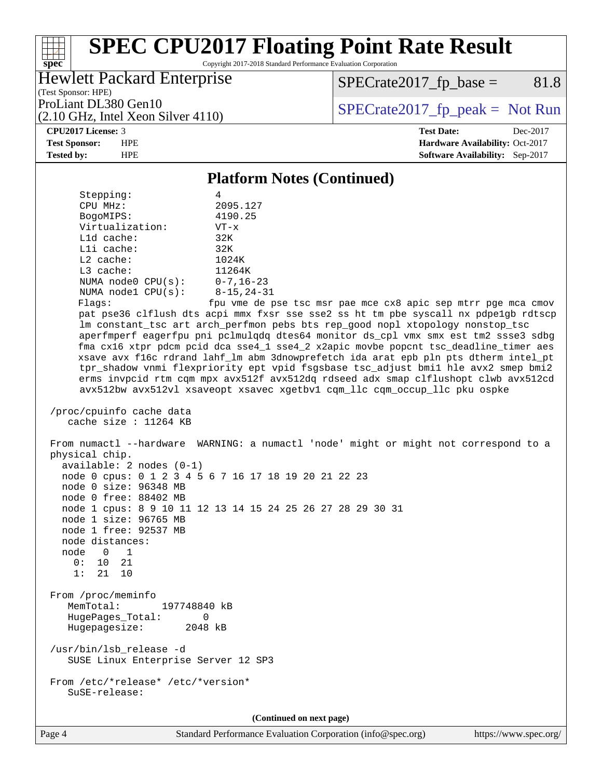Copyright 2017-2018 Standard Performance Evaluation Corporation

## Hewlett Packard Enterprise

 $SPECrate2017_fp\_base = 81.8$ 

(Test Sponsor: HPE) (2.10 GHz, Intel Xeon Silver 4110)

ProLiant DL380 Gen10<br>  $(2.10 \text{ GHz} \text{ Intel } \text{Xeon Silver } 4110)$   $\qquad \qquad$  [SPECrate2017\\_fp\\_peak =](http://www.spec.org/auto/cpu2017/Docs/result-fields.html#SPECrate2017fppeak) Not Run

#### **[CPU2017 License:](http://www.spec.org/auto/cpu2017/Docs/result-fields.html#CPU2017License)** 3 **[Test Date:](http://www.spec.org/auto/cpu2017/Docs/result-fields.html#TestDate)** Dec-2017

**[spec](http://www.spec.org/)**

**[Test Sponsor:](http://www.spec.org/auto/cpu2017/Docs/result-fields.html#TestSponsor)** HPE **[Hardware Availability:](http://www.spec.org/auto/cpu2017/Docs/result-fields.html#HardwareAvailability)** Oct-2017 **[Tested by:](http://www.spec.org/auto/cpu2017/Docs/result-fields.html#Testedby)** HPE **[Software Availability:](http://www.spec.org/auto/cpu2017/Docs/result-fields.html#SoftwareAvailability)** Sep-2017

#### **[Platform Notes \(Continued\)](http://www.spec.org/auto/cpu2017/Docs/result-fields.html#PlatformNotes)**

| Stepping:                                                                                         | 4                                                                                                                                                                                                                                                                                                                                                                                                                                                                                                                                                                                                                                                                                                  |
|---------------------------------------------------------------------------------------------------|----------------------------------------------------------------------------------------------------------------------------------------------------------------------------------------------------------------------------------------------------------------------------------------------------------------------------------------------------------------------------------------------------------------------------------------------------------------------------------------------------------------------------------------------------------------------------------------------------------------------------------------------------------------------------------------------------|
| CPU MHz:                                                                                          | 2095.127                                                                                                                                                                                                                                                                                                                                                                                                                                                                                                                                                                                                                                                                                           |
| BogoMIPS:                                                                                         | 4190.25                                                                                                                                                                                                                                                                                                                                                                                                                                                                                                                                                                                                                                                                                            |
| Virtualization:<br>L1d cache:                                                                     | $VT - x$<br>32K                                                                                                                                                                                                                                                                                                                                                                                                                                                                                                                                                                                                                                                                                    |
| Lli cache:                                                                                        | 32K                                                                                                                                                                                                                                                                                                                                                                                                                                                                                                                                                                                                                                                                                                |
| $L2$ cache:                                                                                       | 1024K                                                                                                                                                                                                                                                                                                                                                                                                                                                                                                                                                                                                                                                                                              |
| L3 cache:                                                                                         | 11264K                                                                                                                                                                                                                                                                                                                                                                                                                                                                                                                                                                                                                                                                                             |
| NUMA node0 CPU(s):                                                                                | $0 - 7, 16 - 23$                                                                                                                                                                                                                                                                                                                                                                                                                                                                                                                                                                                                                                                                                   |
| NUMA nodel CPU(s):                                                                                | $8 - 15, 24 - 31$                                                                                                                                                                                                                                                                                                                                                                                                                                                                                                                                                                                                                                                                                  |
| Flags:                                                                                            | fpu vme de pse tsc msr pae mce cx8 apic sep mtrr pge mca cmov                                                                                                                                                                                                                                                                                                                                                                                                                                                                                                                                                                                                                                      |
|                                                                                                   | pat pse36 clflush dts acpi mmx fxsr sse sse2 ss ht tm pbe syscall nx pdpelgb rdtscp<br>lm constant_tsc art arch_perfmon pebs bts rep_good nopl xtopology nonstop_tsc<br>aperfmperf eagerfpu pni pclmulqdq dtes64 monitor ds_cpl vmx smx est tm2 ssse3 sdbg<br>fma cx16 xtpr pdcm pcid dca sse4_1 sse4_2 x2apic movbe popcnt tsc_deadline_timer aes<br>xsave avx f16c rdrand lahf_lm abm 3dnowprefetch ida arat epb pln pts dtherm intel_pt<br>tpr_shadow vnmi flexpriority ept vpid fsgsbase tsc_adjust bmil hle avx2 smep bmi2<br>erms invpcid rtm cqm mpx avx512f avx512dq rdseed adx smap clflushopt clwb avx512cd<br>avx512bw avx512vl xsaveopt xsavec xgetbvl cqm_llc cqm_occup_llc pku ospke |
| /proc/cpuinfo cache data<br>cache size : 11264 KB                                                 |                                                                                                                                                                                                                                                                                                                                                                                                                                                                                                                                                                                                                                                                                                    |
| physical chip.<br>$available: 2 nodes (0-1)$                                                      | From numactl --hardware WARNING: a numactl 'node' might or might not correspond to a                                                                                                                                                                                                                                                                                                                                                                                                                                                                                                                                                                                                               |
| node 0 size: 96348 MB                                                                             | node 0 cpus: 0 1 2 3 4 5 6 7 16 17 18 19 20 21 22 23                                                                                                                                                                                                                                                                                                                                                                                                                                                                                                                                                                                                                                               |
| node 0 free: 88402 MB                                                                             |                                                                                                                                                                                                                                                                                                                                                                                                                                                                                                                                                                                                                                                                                                    |
| node 1 size: 96765 MB                                                                             | node 1 cpus: 8 9 10 11 12 13 14 15 24 25 26 27 28 29 30 31                                                                                                                                                                                                                                                                                                                                                                                                                                                                                                                                                                                                                                         |
| node 1 free: 92537 MB                                                                             |                                                                                                                                                                                                                                                                                                                                                                                                                                                                                                                                                                                                                                                                                                    |
| node distances:                                                                                   |                                                                                                                                                                                                                                                                                                                                                                                                                                                                                                                                                                                                                                                                                                    |
| node 0 1                                                                                          |                                                                                                                                                                                                                                                                                                                                                                                                                                                                                                                                                                                                                                                                                                    |
| 0: 10 21                                                                                          |                                                                                                                                                                                                                                                                                                                                                                                                                                                                                                                                                                                                                                                                                                    |
| 1:<br>21 10                                                                                       |                                                                                                                                                                                                                                                                                                                                                                                                                                                                                                                                                                                                                                                                                                    |
| From /proc/meminfo<br>MemTotal:<br>197748840 kB<br>HugePages_Total:<br>0<br>Hugepagesize: 2048 kB |                                                                                                                                                                                                                                                                                                                                                                                                                                                                                                                                                                                                                                                                                                    |
|                                                                                                   |                                                                                                                                                                                                                                                                                                                                                                                                                                                                                                                                                                                                                                                                                                    |
| /usr/bin/lsb_release -d<br>SUSE Linux Enterprise Server 12 SP3                                    |                                                                                                                                                                                                                                                                                                                                                                                                                                                                                                                                                                                                                                                                                                    |
| From /etc/*release* /etc/*version*<br>SuSE-release:                                               |                                                                                                                                                                                                                                                                                                                                                                                                                                                                                                                                                                                                                                                                                                    |
|                                                                                                   | (Continued on next page)                                                                                                                                                                                                                                                                                                                                                                                                                                                                                                                                                                                                                                                                           |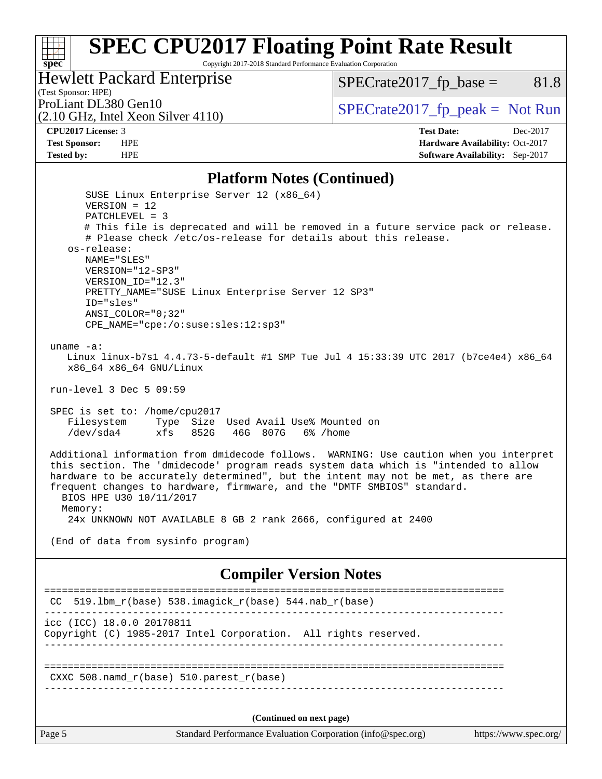Copyright 2017-2018 Standard Performance Evaluation Corporation

## Hewlett Packard Enterprise

 $SPECrate2017_fp\_base = 81.8$ 

## (Test Sponsor: HPE)<br>ProLiant DL380 Gen10

(2.10 GHz, Intel Xeon Silver 4110)

 $SPECTate 2017_fp\_peak = Not Run$ 

**[spec](http://www.spec.org/)**

**[CPU2017 License:](http://www.spec.org/auto/cpu2017/Docs/result-fields.html#CPU2017License)** 3 **[Test Date:](http://www.spec.org/auto/cpu2017/Docs/result-fields.html#TestDate)** Dec-2017 **[Test Sponsor:](http://www.spec.org/auto/cpu2017/Docs/result-fields.html#TestSponsor)** HPE **[Hardware Availability:](http://www.spec.org/auto/cpu2017/Docs/result-fields.html#HardwareAvailability)** Oct-2017 **[Tested by:](http://www.spec.org/auto/cpu2017/Docs/result-fields.html#Testedby)** HPE **[Software Availability:](http://www.spec.org/auto/cpu2017/Docs/result-fields.html#SoftwareAvailability)** Sep-2017

#### **[Platform Notes \(Continued\)](http://www.spec.org/auto/cpu2017/Docs/result-fields.html#PlatformNotes)**

| BIOS HPE U30 10/11/2017   | hardware to be accurately determined", but the intent may not be met, as there are<br>frequent changes to hardware, firmware, and the "DMTF SMBIOS" standard. |
|---------------------------|---------------------------------------------------------------------------------------------------------------------------------------------------------------|
| Memory:                   | 24x UNKNOWN NOT AVAILABLE 8 GB 2 rank 2666, configured at 2400                                                                                                |
|                           | (End of data from sysinfo program)                                                                                                                            |
|                           | <b>Compiler Version Notes</b>                                                                                                                                 |
|                           | ==============================                                                                                                                                |
| CC                        | 519.1bm_r(base) 538.imagick_r(base) 544.nab_r(base)                                                                                                           |
| icc (ICC) 18.0.0 20170811 | Copyright (C) 1985-2017 Intel Corporation. All rights reserved.                                                                                               |
|                           | $CXXC 508.namd_r(base) 510.parest_r(base)$                                                                                                                    |
|                           |                                                                                                                                                               |
|                           | (Continued on next page)                                                                                                                                      |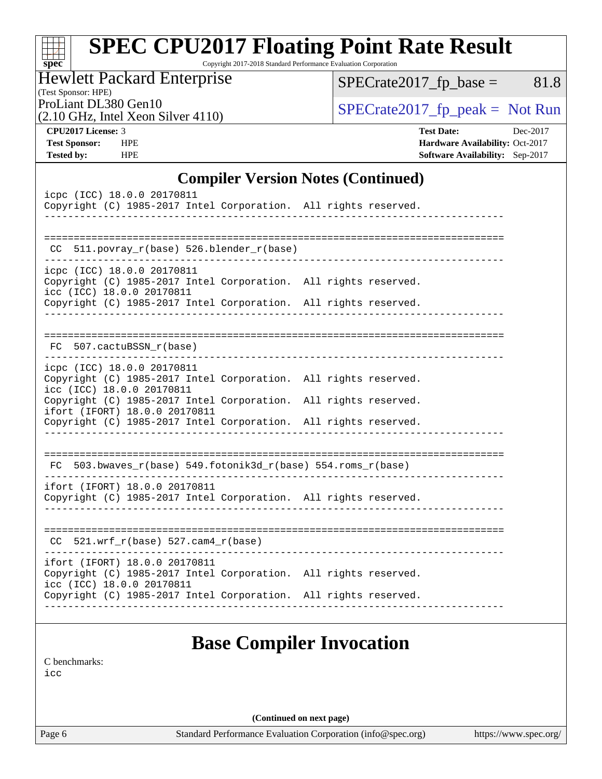| <b>SPEC CPU2017 Floating Point Rate Result</b><br>$Spec^*$<br>Copyright 2017-2018 Standard Performance Evaluation Corporation |                                   |
|-------------------------------------------------------------------------------------------------------------------------------|-----------------------------------|
| <b>Hewlett Packard Enterprise</b><br>(Test Sponsor: HPE)                                                                      | $SPECrate2017_fp\_base =$<br>81.8 |
| ProLiant DL380 Gen10<br>(2.10 GHz, Intel Xeon Silver 4110)                                                                    | $SPECTate2017$ _fp_peak = Not Run |
| <b>CPU2017 License: 3</b>                                                                                                     | <b>Test Date:</b><br>Dec-2017     |
| <b>HPE</b><br><b>Test Sponsor:</b>                                                                                            | Hardware Availability: Oct-2017   |
| <b>Tested by:</b><br><b>HPE</b>                                                                                               | Software Availability: Sep-2017   |

## **[Compiler Version Notes \(Continued\)](http://www.spec.org/auto/cpu2017/Docs/result-fields.html#CompilerVersionNotes)**

| icpc (ICC) 18.0.0 20170811<br>Copyright (C) 1985-2017 Intel Corporation. All rights reserved.<br>___________________________                                                                                                                                                                      |                                 |
|---------------------------------------------------------------------------------------------------------------------------------------------------------------------------------------------------------------------------------------------------------------------------------------------------|---------------------------------|
| $CC$ 511.povray_r(base) 526.blender_r(base)                                                                                                                                                                                                                                                       |                                 |
| icpc (ICC) 18.0.0 20170811<br>Copyright (C) 1985-2017 Intel Corporation. All rights reserved.<br>icc (ICC) 18.0.0 20170811<br>Copyright (C) 1985-2017 Intel Corporation. All rights reserved.                                                                                                     |                                 |
| FC 507.cactuBSSN_r(base)                                                                                                                                                                                                                                                                          |                                 |
| icpc (ICC) 18.0.0 20170811<br>Copyright (C) 1985-2017 Intel Corporation. All rights reserved.<br>icc (ICC) 18.0.0 20170811<br>Copyright (C) 1985-2017 Intel Corporation. All rights reserved.<br>ifort (IFORT) 18.0.0 20170811<br>Copyright (C) 1985-2017 Intel Corporation. All rights reserved. |                                 |
| FC 503.bwaves_r(base) 549.fotonik3d_r(base) 554.roms_r(base)                                                                                                                                                                                                                                      |                                 |
| ifort (IFORT) 18.0.0 20170811<br>Copyright (C) 1985-2017 Intel Corporation. All rights reserved.                                                                                                                                                                                                  |                                 |
| $CC$ 521.wrf_r(base) 527.cam4_r(base)                                                                                                                                                                                                                                                             |                                 |
| ifort (IFORT) 18.0.0 20170811<br>Copyright (C) 1985-2017 Intel Corporation. All rights reserved.<br>icc (ICC) 18.0.0 20170811<br>Copyright (C) 1985-2017 Intel Corporation. All rights reserved.                                                                                                  |                                 |
|                                                                                                                                                                                                                                                                                                   | <b>Base Compiler Invocation</b> |

[C benchmarks](http://www.spec.org/auto/cpu2017/Docs/result-fields.html#Cbenchmarks):

[icc](http://www.spec.org/cpu2017/results/res2018q1/cpu2017-20171212-01804.flags.html#user_CCbase_intel_icc_18.0_66fc1ee009f7361af1fbd72ca7dcefbb700085f36577c54f309893dd4ec40d12360134090235512931783d35fd58c0460139e722d5067c5574d8eaf2b3e37e92)

**(Continued on next page)**

Page 6 Standard Performance Evaluation Corporation [\(info@spec.org\)](mailto:info@spec.org) <https://www.spec.org/>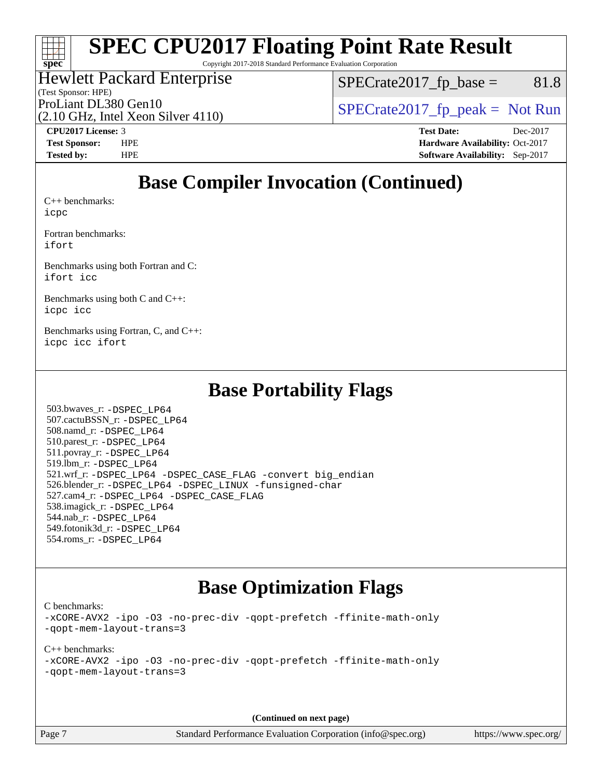# **[spec](http://www.spec.org/)**

## **[SPEC CPU2017 Floating Point Rate Result](http://www.spec.org/auto/cpu2017/Docs/result-fields.html#SPECCPU2017FloatingPointRateResult)**

Copyright 2017-2018 Standard Performance Evaluation Corporation

#### (Test Sponsor: HPE) Hewlett Packard Enterprise

 $SPECTate2017<sub>fp</sub> base =  $81.8$$ 

ProLiant DL380 Gen10  $SPECTR_{12}$  [SPECrate2017\\_fp\\_peak =](http://www.spec.org/auto/cpu2017/Docs/result-fields.html#SPECrate2017fppeak) Not Run

(2.10 GHz, Intel Xeon Silver 4110)

**[CPU2017 License:](http://www.spec.org/auto/cpu2017/Docs/result-fields.html#CPU2017License)** 3 **[Test Date:](http://www.spec.org/auto/cpu2017/Docs/result-fields.html#TestDate)** Dec-2017 **[Test Sponsor:](http://www.spec.org/auto/cpu2017/Docs/result-fields.html#TestSponsor)** HPE **[Hardware Availability:](http://www.spec.org/auto/cpu2017/Docs/result-fields.html#HardwareAvailability)** Oct-2017 **[Tested by:](http://www.spec.org/auto/cpu2017/Docs/result-fields.html#Testedby)** HPE **[Software Availability:](http://www.spec.org/auto/cpu2017/Docs/result-fields.html#SoftwareAvailability)** Sep-2017

## **[Base Compiler Invocation \(Continued\)](http://www.spec.org/auto/cpu2017/Docs/result-fields.html#BaseCompilerInvocation)**

[C++ benchmarks:](http://www.spec.org/auto/cpu2017/Docs/result-fields.html#CXXbenchmarks) [icpc](http://www.spec.org/cpu2017/results/res2018q1/cpu2017-20171212-01804.flags.html#user_CXXbase_intel_icpc_18.0_c510b6838c7f56d33e37e94d029a35b4a7bccf4766a728ee175e80a419847e808290a9b78be685c44ab727ea267ec2f070ec5dc83b407c0218cded6866a35d07)

[Fortran benchmarks](http://www.spec.org/auto/cpu2017/Docs/result-fields.html#Fortranbenchmarks): [ifort](http://www.spec.org/cpu2017/results/res2018q1/cpu2017-20171212-01804.flags.html#user_FCbase_intel_ifort_18.0_8111460550e3ca792625aed983ce982f94888b8b503583aa7ba2b8303487b4d8a21a13e7191a45c5fd58ff318f48f9492884d4413fa793fd88dd292cad7027ca)

[Benchmarks using both Fortran and C](http://www.spec.org/auto/cpu2017/Docs/result-fields.html#BenchmarksusingbothFortranandC): [ifort](http://www.spec.org/cpu2017/results/res2018q1/cpu2017-20171212-01804.flags.html#user_CC_FCbase_intel_ifort_18.0_8111460550e3ca792625aed983ce982f94888b8b503583aa7ba2b8303487b4d8a21a13e7191a45c5fd58ff318f48f9492884d4413fa793fd88dd292cad7027ca) [icc](http://www.spec.org/cpu2017/results/res2018q1/cpu2017-20171212-01804.flags.html#user_CC_FCbase_intel_icc_18.0_66fc1ee009f7361af1fbd72ca7dcefbb700085f36577c54f309893dd4ec40d12360134090235512931783d35fd58c0460139e722d5067c5574d8eaf2b3e37e92)

[Benchmarks using both C and C++](http://www.spec.org/auto/cpu2017/Docs/result-fields.html#BenchmarksusingbothCandCXX): [icpc](http://www.spec.org/cpu2017/results/res2018q1/cpu2017-20171212-01804.flags.html#user_CC_CXXbase_intel_icpc_18.0_c510b6838c7f56d33e37e94d029a35b4a7bccf4766a728ee175e80a419847e808290a9b78be685c44ab727ea267ec2f070ec5dc83b407c0218cded6866a35d07) [icc](http://www.spec.org/cpu2017/results/res2018q1/cpu2017-20171212-01804.flags.html#user_CC_CXXbase_intel_icc_18.0_66fc1ee009f7361af1fbd72ca7dcefbb700085f36577c54f309893dd4ec40d12360134090235512931783d35fd58c0460139e722d5067c5574d8eaf2b3e37e92)

[Benchmarks using Fortran, C, and C++:](http://www.spec.org/auto/cpu2017/Docs/result-fields.html#BenchmarksusingFortranCandCXX) [icpc](http://www.spec.org/cpu2017/results/res2018q1/cpu2017-20171212-01804.flags.html#user_CC_CXX_FCbase_intel_icpc_18.0_c510b6838c7f56d33e37e94d029a35b4a7bccf4766a728ee175e80a419847e808290a9b78be685c44ab727ea267ec2f070ec5dc83b407c0218cded6866a35d07) [icc](http://www.spec.org/cpu2017/results/res2018q1/cpu2017-20171212-01804.flags.html#user_CC_CXX_FCbase_intel_icc_18.0_66fc1ee009f7361af1fbd72ca7dcefbb700085f36577c54f309893dd4ec40d12360134090235512931783d35fd58c0460139e722d5067c5574d8eaf2b3e37e92) [ifort](http://www.spec.org/cpu2017/results/res2018q1/cpu2017-20171212-01804.flags.html#user_CC_CXX_FCbase_intel_ifort_18.0_8111460550e3ca792625aed983ce982f94888b8b503583aa7ba2b8303487b4d8a21a13e7191a45c5fd58ff318f48f9492884d4413fa793fd88dd292cad7027ca)

## **[Base Portability Flags](http://www.spec.org/auto/cpu2017/Docs/result-fields.html#BasePortabilityFlags)**

 503.bwaves\_r: [-DSPEC\\_LP64](http://www.spec.org/cpu2017/results/res2018q1/cpu2017-20171212-01804.flags.html#suite_basePORTABILITY503_bwaves_r_DSPEC_LP64) 507.cactuBSSN\_r: [-DSPEC\\_LP64](http://www.spec.org/cpu2017/results/res2018q1/cpu2017-20171212-01804.flags.html#suite_basePORTABILITY507_cactuBSSN_r_DSPEC_LP64) 508.namd\_r: [-DSPEC\\_LP64](http://www.spec.org/cpu2017/results/res2018q1/cpu2017-20171212-01804.flags.html#suite_basePORTABILITY508_namd_r_DSPEC_LP64) 510.parest\_r: [-DSPEC\\_LP64](http://www.spec.org/cpu2017/results/res2018q1/cpu2017-20171212-01804.flags.html#suite_basePORTABILITY510_parest_r_DSPEC_LP64) 511.povray\_r: [-DSPEC\\_LP64](http://www.spec.org/cpu2017/results/res2018q1/cpu2017-20171212-01804.flags.html#suite_basePORTABILITY511_povray_r_DSPEC_LP64) 519.lbm\_r: [-DSPEC\\_LP64](http://www.spec.org/cpu2017/results/res2018q1/cpu2017-20171212-01804.flags.html#suite_basePORTABILITY519_lbm_r_DSPEC_LP64) 521.wrf\_r: [-DSPEC\\_LP64](http://www.spec.org/cpu2017/results/res2018q1/cpu2017-20171212-01804.flags.html#suite_basePORTABILITY521_wrf_r_DSPEC_LP64) [-DSPEC\\_CASE\\_FLAG](http://www.spec.org/cpu2017/results/res2018q1/cpu2017-20171212-01804.flags.html#b521.wrf_r_baseCPORTABILITY_DSPEC_CASE_FLAG) [-convert big\\_endian](http://www.spec.org/cpu2017/results/res2018q1/cpu2017-20171212-01804.flags.html#user_baseFPORTABILITY521_wrf_r_convert_big_endian_c3194028bc08c63ac5d04de18c48ce6d347e4e562e8892b8bdbdc0214820426deb8554edfa529a3fb25a586e65a3d812c835984020483e7e73212c4d31a38223) 526.blender\_r: [-DSPEC\\_LP64](http://www.spec.org/cpu2017/results/res2018q1/cpu2017-20171212-01804.flags.html#suite_basePORTABILITY526_blender_r_DSPEC_LP64) [-DSPEC\\_LINUX](http://www.spec.org/cpu2017/results/res2018q1/cpu2017-20171212-01804.flags.html#b526.blender_r_baseCPORTABILITY_DSPEC_LINUX) [-funsigned-char](http://www.spec.org/cpu2017/results/res2018q1/cpu2017-20171212-01804.flags.html#user_baseCPORTABILITY526_blender_r_force_uchar_40c60f00ab013830e2dd6774aeded3ff59883ba5a1fc5fc14077f794d777847726e2a5858cbc7672e36e1b067e7e5c1d9a74f7176df07886a243d7cc18edfe67) 527.cam4\_r: [-DSPEC\\_LP64](http://www.spec.org/cpu2017/results/res2018q1/cpu2017-20171212-01804.flags.html#suite_basePORTABILITY527_cam4_r_DSPEC_LP64) [-DSPEC\\_CASE\\_FLAG](http://www.spec.org/cpu2017/results/res2018q1/cpu2017-20171212-01804.flags.html#b527.cam4_r_baseCPORTABILITY_DSPEC_CASE_FLAG) 538.imagick\_r: [-DSPEC\\_LP64](http://www.spec.org/cpu2017/results/res2018q1/cpu2017-20171212-01804.flags.html#suite_basePORTABILITY538_imagick_r_DSPEC_LP64) 544.nab\_r: [-DSPEC\\_LP64](http://www.spec.org/cpu2017/results/res2018q1/cpu2017-20171212-01804.flags.html#suite_basePORTABILITY544_nab_r_DSPEC_LP64) 549.fotonik3d\_r: [-DSPEC\\_LP64](http://www.spec.org/cpu2017/results/res2018q1/cpu2017-20171212-01804.flags.html#suite_basePORTABILITY549_fotonik3d_r_DSPEC_LP64) 554.roms\_r: [-DSPEC\\_LP64](http://www.spec.org/cpu2017/results/res2018q1/cpu2017-20171212-01804.flags.html#suite_basePORTABILITY554_roms_r_DSPEC_LP64)

## **[Base Optimization Flags](http://www.spec.org/auto/cpu2017/Docs/result-fields.html#BaseOptimizationFlags)**

[C benchmarks](http://www.spec.org/auto/cpu2017/Docs/result-fields.html#Cbenchmarks):

[-xCORE-AVX2](http://www.spec.org/cpu2017/results/res2018q1/cpu2017-20171212-01804.flags.html#user_CCbase_f-xCORE-AVX2) [-ipo](http://www.spec.org/cpu2017/results/res2018q1/cpu2017-20171212-01804.flags.html#user_CCbase_f-ipo) [-O3](http://www.spec.org/cpu2017/results/res2018q1/cpu2017-20171212-01804.flags.html#user_CCbase_f-O3) [-no-prec-div](http://www.spec.org/cpu2017/results/res2018q1/cpu2017-20171212-01804.flags.html#user_CCbase_f-no-prec-div) [-qopt-prefetch](http://www.spec.org/cpu2017/results/res2018q1/cpu2017-20171212-01804.flags.html#user_CCbase_f-qopt-prefetch) [-ffinite-math-only](http://www.spec.org/cpu2017/results/res2018q1/cpu2017-20171212-01804.flags.html#user_CCbase_f_finite_math_only_cb91587bd2077682c4b38af759c288ed7c732db004271a9512da14a4f8007909a5f1427ecbf1a0fb78ff2a814402c6114ac565ca162485bbcae155b5e4258871) [-qopt-mem-layout-trans=3](http://www.spec.org/cpu2017/results/res2018q1/cpu2017-20171212-01804.flags.html#user_CCbase_f-qopt-mem-layout-trans_de80db37974c74b1f0e20d883f0b675c88c3b01e9d123adea9b28688d64333345fb62bc4a798493513fdb68f60282f9a726aa07f478b2f7113531aecce732043)

[C++ benchmarks:](http://www.spec.org/auto/cpu2017/Docs/result-fields.html#CXXbenchmarks) [-xCORE-AVX2](http://www.spec.org/cpu2017/results/res2018q1/cpu2017-20171212-01804.flags.html#user_CXXbase_f-xCORE-AVX2) [-ipo](http://www.spec.org/cpu2017/results/res2018q1/cpu2017-20171212-01804.flags.html#user_CXXbase_f-ipo) [-O3](http://www.spec.org/cpu2017/results/res2018q1/cpu2017-20171212-01804.flags.html#user_CXXbase_f-O3) [-no-prec-div](http://www.spec.org/cpu2017/results/res2018q1/cpu2017-20171212-01804.flags.html#user_CXXbase_f-no-prec-div) [-qopt-prefetch](http://www.spec.org/cpu2017/results/res2018q1/cpu2017-20171212-01804.flags.html#user_CXXbase_f-qopt-prefetch) [-ffinite-math-only](http://www.spec.org/cpu2017/results/res2018q1/cpu2017-20171212-01804.flags.html#user_CXXbase_f_finite_math_only_cb91587bd2077682c4b38af759c288ed7c732db004271a9512da14a4f8007909a5f1427ecbf1a0fb78ff2a814402c6114ac565ca162485bbcae155b5e4258871) [-qopt-mem-layout-trans=3](http://www.spec.org/cpu2017/results/res2018q1/cpu2017-20171212-01804.flags.html#user_CXXbase_f-qopt-mem-layout-trans_de80db37974c74b1f0e20d883f0b675c88c3b01e9d123adea9b28688d64333345fb62bc4a798493513fdb68f60282f9a726aa07f478b2f7113531aecce732043)

**(Continued on next page)**

Page 7 Standard Performance Evaluation Corporation [\(info@spec.org\)](mailto:info@spec.org) <https://www.spec.org/>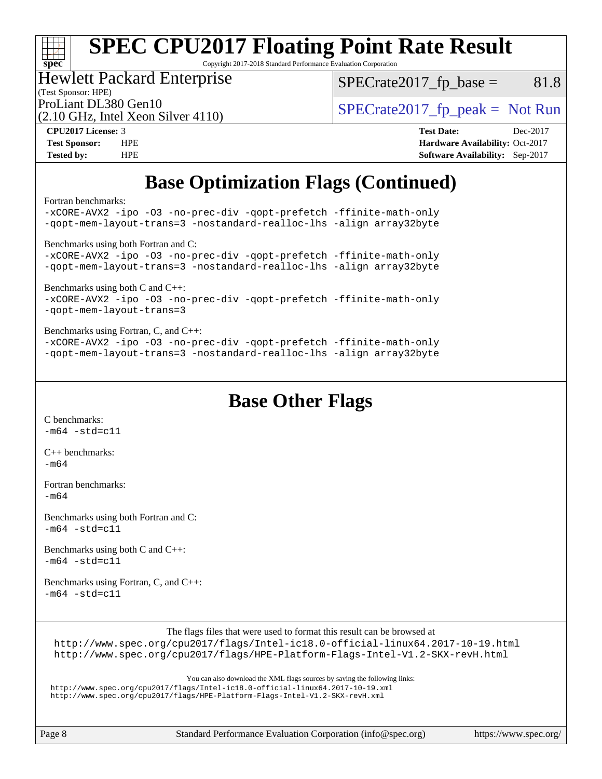# **[spec](http://www.spec.org/)**

## **[SPEC CPU2017 Floating Point Rate Result](http://www.spec.org/auto/cpu2017/Docs/result-fields.html#SPECCPU2017FloatingPointRateResult)**

Copyright 2017-2018 Standard Performance Evaluation Corporation

## Hewlett Packard Enterprise

(2.10 GHz, Intel Xeon Silver 4110)

 $SPECTate2017<sub>fp</sub> base = 81.8$ 

(Test Sponsor: HPE)

ProLiant DL380 Gen10  $SPECTA = 1110$   $SPECTA = 2017$  fp\_peak = Not Run

**[CPU2017 License:](http://www.spec.org/auto/cpu2017/Docs/result-fields.html#CPU2017License)** 3 **[Test Date:](http://www.spec.org/auto/cpu2017/Docs/result-fields.html#TestDate)** Dec-2017 **[Test Sponsor:](http://www.spec.org/auto/cpu2017/Docs/result-fields.html#TestSponsor)** HPE **[Hardware Availability:](http://www.spec.org/auto/cpu2017/Docs/result-fields.html#HardwareAvailability)** Oct-2017 **[Tested by:](http://www.spec.org/auto/cpu2017/Docs/result-fields.html#Testedby)** HPE **[Software Availability:](http://www.spec.org/auto/cpu2017/Docs/result-fields.html#SoftwareAvailability)** Sep-2017

## **[Base Optimization Flags \(Continued\)](http://www.spec.org/auto/cpu2017/Docs/result-fields.html#BaseOptimizationFlags)**

[Fortran benchmarks](http://www.spec.org/auto/cpu2017/Docs/result-fields.html#Fortranbenchmarks):

[-xCORE-AVX2](http://www.spec.org/cpu2017/results/res2018q1/cpu2017-20171212-01804.flags.html#user_FCbase_f-xCORE-AVX2) [-ipo](http://www.spec.org/cpu2017/results/res2018q1/cpu2017-20171212-01804.flags.html#user_FCbase_f-ipo) [-O3](http://www.spec.org/cpu2017/results/res2018q1/cpu2017-20171212-01804.flags.html#user_FCbase_f-O3) [-no-prec-div](http://www.spec.org/cpu2017/results/res2018q1/cpu2017-20171212-01804.flags.html#user_FCbase_f-no-prec-div) [-qopt-prefetch](http://www.spec.org/cpu2017/results/res2018q1/cpu2017-20171212-01804.flags.html#user_FCbase_f-qopt-prefetch) [-ffinite-math-only](http://www.spec.org/cpu2017/results/res2018q1/cpu2017-20171212-01804.flags.html#user_FCbase_f_finite_math_only_cb91587bd2077682c4b38af759c288ed7c732db004271a9512da14a4f8007909a5f1427ecbf1a0fb78ff2a814402c6114ac565ca162485bbcae155b5e4258871) [-qopt-mem-layout-trans=3](http://www.spec.org/cpu2017/results/res2018q1/cpu2017-20171212-01804.flags.html#user_FCbase_f-qopt-mem-layout-trans_de80db37974c74b1f0e20d883f0b675c88c3b01e9d123adea9b28688d64333345fb62bc4a798493513fdb68f60282f9a726aa07f478b2f7113531aecce732043) [-nostandard-realloc-lhs](http://www.spec.org/cpu2017/results/res2018q1/cpu2017-20171212-01804.flags.html#user_FCbase_f_2003_std_realloc_82b4557e90729c0f113870c07e44d33d6f5a304b4f63d4c15d2d0f1fab99f5daaed73bdb9275d9ae411527f28b936061aa8b9c8f2d63842963b95c9dd6426b8a) [-align array32byte](http://www.spec.org/cpu2017/results/res2018q1/cpu2017-20171212-01804.flags.html#user_FCbase_align_array32byte_b982fe038af199962ba9a80c053b8342c548c85b40b8e86eb3cc33dee0d7986a4af373ac2d51c3f7cf710a18d62fdce2948f201cd044323541f22fc0fffc51b6) [Benchmarks using both Fortran and C](http://www.spec.org/auto/cpu2017/Docs/result-fields.html#BenchmarksusingbothFortranandC): [-xCORE-AVX2](http://www.spec.org/cpu2017/results/res2018q1/cpu2017-20171212-01804.flags.html#user_CC_FCbase_f-xCORE-AVX2) [-ipo](http://www.spec.org/cpu2017/results/res2018q1/cpu2017-20171212-01804.flags.html#user_CC_FCbase_f-ipo) [-O3](http://www.spec.org/cpu2017/results/res2018q1/cpu2017-20171212-01804.flags.html#user_CC_FCbase_f-O3) [-no-prec-div](http://www.spec.org/cpu2017/results/res2018q1/cpu2017-20171212-01804.flags.html#user_CC_FCbase_f-no-prec-div) [-qopt-prefetch](http://www.spec.org/cpu2017/results/res2018q1/cpu2017-20171212-01804.flags.html#user_CC_FCbase_f-qopt-prefetch) [-ffinite-math-only](http://www.spec.org/cpu2017/results/res2018q1/cpu2017-20171212-01804.flags.html#user_CC_FCbase_f_finite_math_only_cb91587bd2077682c4b38af759c288ed7c732db004271a9512da14a4f8007909a5f1427ecbf1a0fb78ff2a814402c6114ac565ca162485bbcae155b5e4258871) [-qopt-mem-layout-trans=3](http://www.spec.org/cpu2017/results/res2018q1/cpu2017-20171212-01804.flags.html#user_CC_FCbase_f-qopt-mem-layout-trans_de80db37974c74b1f0e20d883f0b675c88c3b01e9d123adea9b28688d64333345fb62bc4a798493513fdb68f60282f9a726aa07f478b2f7113531aecce732043) [-nostandard-realloc-lhs](http://www.spec.org/cpu2017/results/res2018q1/cpu2017-20171212-01804.flags.html#user_CC_FCbase_f_2003_std_realloc_82b4557e90729c0f113870c07e44d33d6f5a304b4f63d4c15d2d0f1fab99f5daaed73bdb9275d9ae411527f28b936061aa8b9c8f2d63842963b95c9dd6426b8a) [-align array32byte](http://www.spec.org/cpu2017/results/res2018q1/cpu2017-20171212-01804.flags.html#user_CC_FCbase_align_array32byte_b982fe038af199962ba9a80c053b8342c548c85b40b8e86eb3cc33dee0d7986a4af373ac2d51c3f7cf710a18d62fdce2948f201cd044323541f22fc0fffc51b6) [Benchmarks using both C and C++](http://www.spec.org/auto/cpu2017/Docs/result-fields.html#BenchmarksusingbothCandCXX): [-xCORE-AVX2](http://www.spec.org/cpu2017/results/res2018q1/cpu2017-20171212-01804.flags.html#user_CC_CXXbase_f-xCORE-AVX2) [-ipo](http://www.spec.org/cpu2017/results/res2018q1/cpu2017-20171212-01804.flags.html#user_CC_CXXbase_f-ipo) [-O3](http://www.spec.org/cpu2017/results/res2018q1/cpu2017-20171212-01804.flags.html#user_CC_CXXbase_f-O3) [-no-prec-div](http://www.spec.org/cpu2017/results/res2018q1/cpu2017-20171212-01804.flags.html#user_CC_CXXbase_f-no-prec-div) [-qopt-prefetch](http://www.spec.org/cpu2017/results/res2018q1/cpu2017-20171212-01804.flags.html#user_CC_CXXbase_f-qopt-prefetch) [-ffinite-math-only](http://www.spec.org/cpu2017/results/res2018q1/cpu2017-20171212-01804.flags.html#user_CC_CXXbase_f_finite_math_only_cb91587bd2077682c4b38af759c288ed7c732db004271a9512da14a4f8007909a5f1427ecbf1a0fb78ff2a814402c6114ac565ca162485bbcae155b5e4258871) [-qopt-mem-layout-trans=3](http://www.spec.org/cpu2017/results/res2018q1/cpu2017-20171212-01804.flags.html#user_CC_CXXbase_f-qopt-mem-layout-trans_de80db37974c74b1f0e20d883f0b675c88c3b01e9d123adea9b28688d64333345fb62bc4a798493513fdb68f60282f9a726aa07f478b2f7113531aecce732043) [Benchmarks using Fortran, C, and C++:](http://www.spec.org/auto/cpu2017/Docs/result-fields.html#BenchmarksusingFortranCandCXX) [-xCORE-AVX2](http://www.spec.org/cpu2017/results/res2018q1/cpu2017-20171212-01804.flags.html#user_CC_CXX_FCbase_f-xCORE-AVX2) [-ipo](http://www.spec.org/cpu2017/results/res2018q1/cpu2017-20171212-01804.flags.html#user_CC_CXX_FCbase_f-ipo) [-O3](http://www.spec.org/cpu2017/results/res2018q1/cpu2017-20171212-01804.flags.html#user_CC_CXX_FCbase_f-O3) [-no-prec-div](http://www.spec.org/cpu2017/results/res2018q1/cpu2017-20171212-01804.flags.html#user_CC_CXX_FCbase_f-no-prec-div) [-qopt-prefetch](http://www.spec.org/cpu2017/results/res2018q1/cpu2017-20171212-01804.flags.html#user_CC_CXX_FCbase_f-qopt-prefetch) [-ffinite-math-only](http://www.spec.org/cpu2017/results/res2018q1/cpu2017-20171212-01804.flags.html#user_CC_CXX_FCbase_f_finite_math_only_cb91587bd2077682c4b38af759c288ed7c732db004271a9512da14a4f8007909a5f1427ecbf1a0fb78ff2a814402c6114ac565ca162485bbcae155b5e4258871) [-qopt-mem-layout-trans=3](http://www.spec.org/cpu2017/results/res2018q1/cpu2017-20171212-01804.flags.html#user_CC_CXX_FCbase_f-qopt-mem-layout-trans_de80db37974c74b1f0e20d883f0b675c88c3b01e9d123adea9b28688d64333345fb62bc4a798493513fdb68f60282f9a726aa07f478b2f7113531aecce732043) [-nostandard-realloc-lhs](http://www.spec.org/cpu2017/results/res2018q1/cpu2017-20171212-01804.flags.html#user_CC_CXX_FCbase_f_2003_std_realloc_82b4557e90729c0f113870c07e44d33d6f5a304b4f63d4c15d2d0f1fab99f5daaed73bdb9275d9ae411527f28b936061aa8b9c8f2d63842963b95c9dd6426b8a) [-align array32byte](http://www.spec.org/cpu2017/results/res2018q1/cpu2017-20171212-01804.flags.html#user_CC_CXX_FCbase_align_array32byte_b982fe038af199962ba9a80c053b8342c548c85b40b8e86eb3cc33dee0d7986a4af373ac2d51c3f7cf710a18d62fdce2948f201cd044323541f22fc0fffc51b6)

## **[Base Other Flags](http://www.spec.org/auto/cpu2017/Docs/result-fields.html#BaseOtherFlags)**

[C benchmarks](http://www.spec.org/auto/cpu2017/Docs/result-fields.html#Cbenchmarks):  $-m64 - std= c11$  $-m64 - std= c11$ 

[C++ benchmarks:](http://www.spec.org/auto/cpu2017/Docs/result-fields.html#CXXbenchmarks) [-m64](http://www.spec.org/cpu2017/results/res2018q1/cpu2017-20171212-01804.flags.html#user_CXXbase_intel_intel64_18.0_af43caccfc8ded86e7699f2159af6efc7655f51387b94da716254467f3c01020a5059329e2569e4053f409e7c9202a7efc638f7a6d1ffb3f52dea4a3e31d82ab)

[Fortran benchmarks](http://www.spec.org/auto/cpu2017/Docs/result-fields.html#Fortranbenchmarks): [-m64](http://www.spec.org/cpu2017/results/res2018q1/cpu2017-20171212-01804.flags.html#user_FCbase_intel_intel64_18.0_af43caccfc8ded86e7699f2159af6efc7655f51387b94da716254467f3c01020a5059329e2569e4053f409e7c9202a7efc638f7a6d1ffb3f52dea4a3e31d82ab)

[Benchmarks using both Fortran and C](http://www.spec.org/auto/cpu2017/Docs/result-fields.html#BenchmarksusingbothFortranandC):  $-m64$   $-std=cl1$ 

[Benchmarks using both C and C++](http://www.spec.org/auto/cpu2017/Docs/result-fields.html#BenchmarksusingbothCandCXX):  $-m64 - std= c11$  $-m64 - std= c11$ 

[Benchmarks using Fortran, C, and C++:](http://www.spec.org/auto/cpu2017/Docs/result-fields.html#BenchmarksusingFortranCandCXX)  $-m64 - std = c11$  $-m64 - std = c11$ 

The flags files that were used to format this result can be browsed at

<http://www.spec.org/cpu2017/flags/Intel-ic18.0-official-linux64.2017-10-19.html> <http://www.spec.org/cpu2017/flags/HPE-Platform-Flags-Intel-V1.2-SKX-revH.html>

You can also download the XML flags sources by saving the following links:

<http://www.spec.org/cpu2017/flags/Intel-ic18.0-official-linux64.2017-10-19.xml> <http://www.spec.org/cpu2017/flags/HPE-Platform-Flags-Intel-V1.2-SKX-revH.xml>

Page 8 Standard Performance Evaluation Corporation [\(info@spec.org\)](mailto:info@spec.org) <https://www.spec.org/>